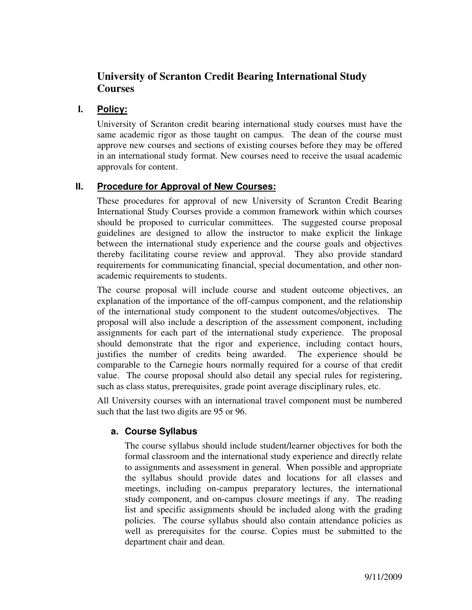# **University of Scranton Credit Bearing International Study Courses**

# **I. Policy:**

University of Scranton credit bearing international study courses must have the same academic rigor as those taught on campus. The dean of the course must approve new courses and sections of existing courses before they may be offered in an international study format. New courses need to receive the usual academic approvals for content.

## **II. Procedure for Approval of New Courses:**

These procedures for approval of new University of Scranton Credit Bearing International Study Courses provide a common framework within which courses should be proposed to curricular committees. The suggested course proposal guidelines are designed to allow the instructor to make explicit the linkage between the international study experience and the course goals and objectives thereby facilitating course review and approval. They also provide standard requirements for communicating financial, special documentation, and other nonacademic requirements to students.

The course proposal will include course and student outcome objectives, an explanation of the importance of the off-campus component, and the relationship of the international study component to the student outcomes/objectives. The proposal will also include a description of the assessment component, including assignments for each part of the international study experience. The proposal should demonstrate that the rigor and experience, including contact hours, justifies the number of credits being awarded. The experience should be comparable to the Carnegie hours normally required for a course of that credit value. The course proposal should also detail any special rules for registering, such as class status, prerequisites, grade point average disciplinary rules, etc.

All University courses with an international travel component must be numbered such that the last two digits are 95 or 96.

#### **a. Course Syllabus**

The course syllabus should include student/learner objectives for both the formal classroom and the international study experience and directly relate to assignments and assessment in general. When possible and appropriate the syllabus should provide dates and locations for all classes and meetings, including on-campus preparatory lectures, the international study component, and on-campus closure meetings if any. The reading list and specific assignments should be included along with the grading policies. The course syllabus should also contain attendance policies as well as prerequisites for the course. Copies must be submitted to the department chair and dean.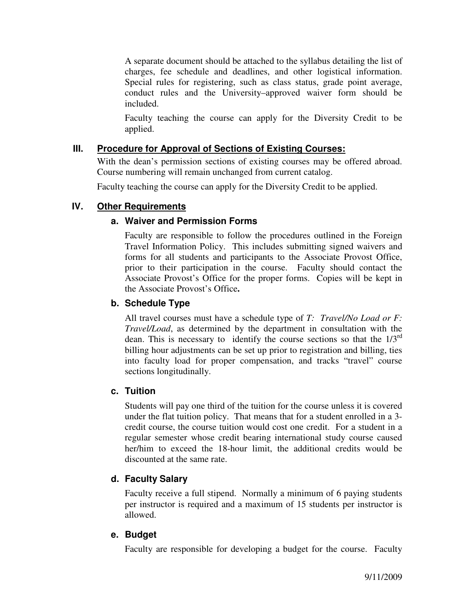A separate document should be attached to the syllabus detailing the list of charges, fee schedule and deadlines, and other logistical information. Special rules for registering, such as class status, grade point average, conduct rules and the University–approved waiver form should be included.

Faculty teaching the course can apply for the Diversity Credit to be applied.

# **III. Procedure for Approval of Sections of Existing Courses:**

With the dean's permission sections of existing courses may be offered abroad. Course numbering will remain unchanged from current catalog.

Faculty teaching the course can apply for the Diversity Credit to be applied.

## **IV. Other Requirements**

## **a. Waiver and Permission Forms**

Faculty are responsible to follow the procedures outlined in the Foreign Travel Information Policy. This includes submitting signed waivers and forms for all students and participants to the Associate Provost Office, prior to their participation in the course. Faculty should contact the Associate Provost's Office for the proper forms. Copies will be kept in the Associate Provost's Office**.**

## **b. Schedule Type**

All travel courses must have a schedule type of *T: Travel/No Load or F: Travel/Load*, as determined by the department in consultation with the dean. This is necessary to identify the course sections so that the  $1/3<sup>rd</sup>$ billing hour adjustments can be set up prior to registration and billing, ties into faculty load for proper compensation, and tracks "travel" course sections longitudinally.

#### **c. Tuition**

Students will pay one third of the tuition for the course unless it is covered under the flat tuition policy. That means that for a student enrolled in a 3 credit course, the course tuition would cost one credit. For a student in a regular semester whose credit bearing international study course caused her/him to exceed the 18-hour limit, the additional credits would be discounted at the same rate.

# **d. Faculty Salary**

Faculty receive a full stipend. Normally a minimum of 6 paying students per instructor is required and a maximum of 15 students per instructor is allowed.

#### **e. Budget**

Faculty are responsible for developing a budget for the course. Faculty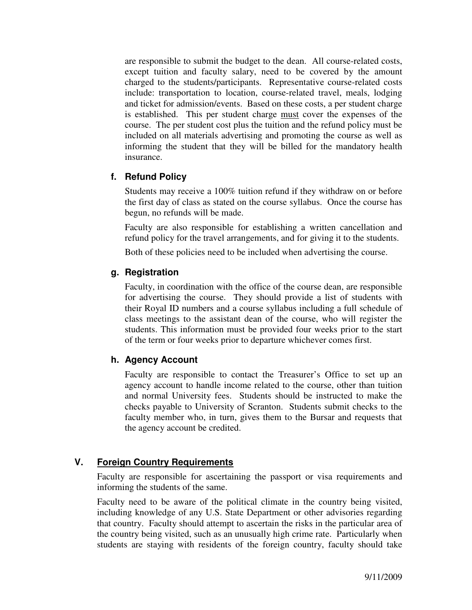are responsible to submit the budget to the dean. All course-related costs, except tuition and faculty salary, need to be covered by the amount charged to the students/participants. Representative course-related costs include: transportation to location, course-related travel, meals, lodging and ticket for admission/events. Based on these costs, a per student charge is established. This per student charge must cover the expenses of the course. The per student cost plus the tuition and the refund policy must be included on all materials advertising and promoting the course as well as informing the student that they will be billed for the mandatory health insurance.

## **f. Refund Policy**

Students may receive a 100% tuition refund if they withdraw on or before the first day of class as stated on the course syllabus. Once the course has begun, no refunds will be made.

Faculty are also responsible for establishing a written cancellation and refund policy for the travel arrangements, and for giving it to the students.

Both of these policies need to be included when advertising the course.

## **g. Registration**

Faculty, in coordination with the office of the course dean, are responsible for advertising the course. They should provide a list of students with their Royal ID numbers and a course syllabus including a full schedule of class meetings to the assistant dean of the course, who will register the students. This information must be provided four weeks prior to the start of the term or four weeks prior to departure whichever comes first.

# **h. Agency Account**

Faculty are responsible to contact the Treasurer's Office to set up an agency account to handle income related to the course, other than tuition and normal University fees. Students should be instructed to make the checks payable to University of Scranton. Students submit checks to the faculty member who, in turn, gives them to the Bursar and requests that the agency account be credited.

# **V. Foreign Country Requirements**

Faculty are responsible for ascertaining the passport or visa requirements and informing the students of the same.

Faculty need to be aware of the political climate in the country being visited, including knowledge of any U.S. State Department or other advisories regarding that country. Faculty should attempt to ascertain the risks in the particular area of the country being visited, such as an unusually high crime rate. Particularly when students are staying with residents of the foreign country, faculty should take